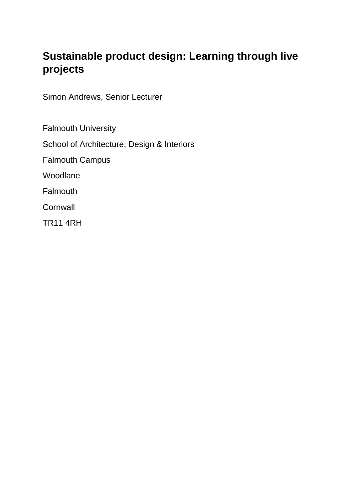# **Sustainable product design: Learning through live projects**

Simon Andrews, Senior Lecturer

Falmouth University School of Architecture, Design & Interiors Falmouth Campus Woodlane **Falmouth Cornwall** 

TR11 4RH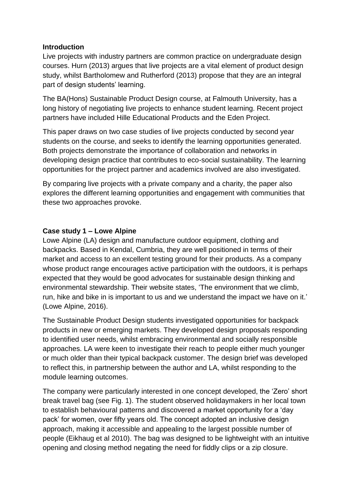#### **Introduction**

Live projects with industry partners are common practice on undergraduate design courses. Hurn (2013) argues that live projects are a vital element of product design study, whilst Bartholomew and Rutherford (2013) propose that they are an integral part of design students' learning.

The BA(Hons) Sustainable Product Design course, at Falmouth University, has a long history of negotiating live projects to enhance student learning. Recent project partners have included Hille Educational Products and the Eden Project.

This paper draws on two case studies of live projects conducted by second year students on the course, and seeks to identify the learning opportunities generated. Both projects demonstrate the importance of collaboration and networks in developing design practice that contributes to eco-social sustainability. The learning opportunities for the project partner and academics involved are also investigated.

By comparing live projects with a private company and a charity, the paper also explores the different learning opportunities and engagement with communities that these two approaches provoke.

# **Case study 1 – Lowe Alpine**

Lowe Alpine (LA) design and manufacture outdoor equipment, clothing and backpacks. Based in Kendal, Cumbria, they are well positioned in terms of their market and access to an excellent testing ground for their products. As a company whose product range encourages active participation with the outdoors, it is perhaps expected that they would be good advocates for sustainable design thinking and environmental stewardship. Their website states, 'The environment that we climb, run, hike and bike in is important to us and we understand the impact we have on it.' (Lowe Alpine, 2016).

The Sustainable Product Design students investigated opportunities for backpack products in new or emerging markets. They developed design proposals responding to identified user needs, whilst embracing environmental and socially responsible approaches. LA were keen to investigate their reach to people either much younger or much older than their typical backpack customer. The design brief was developed to reflect this, in partnership between the author and LA, whilst responding to the module learning outcomes.

The company were particularly interested in one concept developed, the 'Zero' short break travel bag (see Fig. 1). The student observed holidaymakers in her local town to establish behavioural patterns and discovered a market opportunity for a 'day pack' for women, over fifty years old. The concept adopted an inclusive design approach, making it accessible and appealing to the largest possible number of people (Eikhaug et al 2010). The bag was designed to be lightweight with an intuitive opening and closing method negating the need for fiddly clips or a zip closure.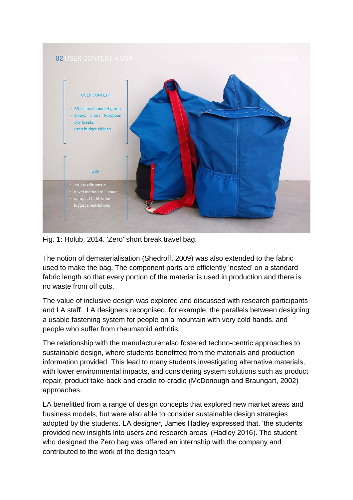

Fig. 1: Holub, 2014. 'Zero' short break travel bag.

The notion of dematerialisation (Shedroff, 2009) was also extended to the fabric used to make the bag. The component parts are efficiently 'nested' on a standard fabric length so that every portion of the material is used in production and there is no waste from off cuts.

The value of inclusive design was explored and discussed with research participants and LA staff. LA designers recognised, for example, the parallels between designing a usable fastening system for people on a mountain with very cold hands, and people who suffer from rheumatoid arthritis.

The relationship with the manufacturer also fostered techno-centric approaches to sustainable design, where students benefitted from the materials and production information provided. This lead to many students investigating alternative materials, with lower environmental impacts, and considering system solutions such as product repair, product take-back and cradle-to-cradle (McDonough and Braungart, 2002) approaches.

LA benefitted from a range of design concepts that explored new market areas and business models, but were also able to consider sustainable design strategies adopted by the students. LA designer, James Hadley expressed that, 'the students provided new insights into users and research areas' (Hadley 2016). The student who designed the Zero bag was offered an internship with the company and contributed to the work of the design team.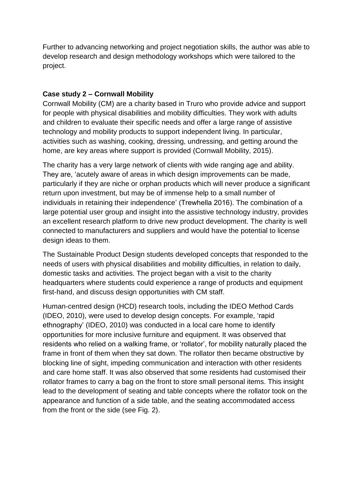Further to advancing networking and project negotiation skills, the author was able to develop research and design methodology workshops which were tailored to the project.

#### **Case study 2 – Cornwall Mobility**

Cornwall Mobility (CM) are a charity based in Truro who provide advice and support for people with physical disabilities and mobility difficulties. They work with adults and children to evaluate their specific needs and offer a large range of assistive technology and mobility products to support independent living. In particular, activities such as washing, cooking, dressing, undressing, and getting around the home, are key areas where support is provided (Cornwall Mobility, 2015).

The charity has a very large network of clients with wide ranging age and ability. They are, 'acutely aware of areas in which design improvements can be made, particularly if they are niche or orphan products which will never produce a significant return upon investment, but may be of immense help to a small number of individuals in retaining their independence' (Trewhella 2016). The combination of a large potential user group and insight into the assistive technology industry, provides an excellent research platform to drive new product development. The charity is well connected to manufacturers and suppliers and would have the potential to license design ideas to them.

The Sustainable Product Design students developed concepts that responded to the needs of users with physical disabilities and mobility difficulties, in relation to daily, domestic tasks and activities. The project began with a visit to the charity headquarters where students could experience a range of products and equipment first-hand, and discuss design opportunities with CM staff.

Human-centred design (HCD) research tools, including the IDEO Method Cards (IDEO, 2010), were used to develop design concepts. For example, 'rapid ethnography' (IDEO, 2010) was conducted in a local care home to identify opportunities for more inclusive furniture and equipment. It was observed that residents who relied on a walking frame, or 'rollator', for mobility naturally placed the frame in front of them when they sat down. The rollator then became obstructive by blocking line of sight, impeding communication and interaction with other residents and care home staff. It was also observed that some residents had customised their rollator frames to carry a bag on the front to store small personal items. This insight lead to the development of seating and table concepts where the rollator took on the appearance and function of a side table, and the seating accommodated access from the front or the side (see Fig. 2).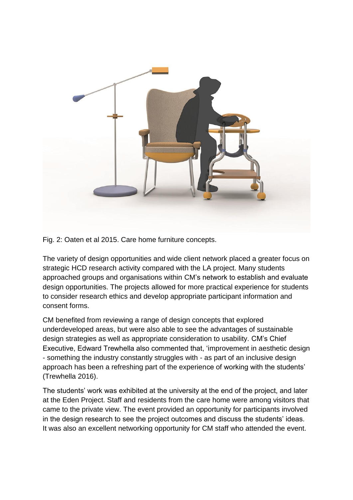

Fig. 2: Oaten et al 2015. Care home furniture concepts.

The variety of design opportunities and wide client network placed a greater focus on strategic HCD research activity compared with the LA project. Many students approached groups and organisations within CM's network to establish and evaluate design opportunities. The projects allowed for more practical experience for students to consider research ethics and develop appropriate participant information and consent forms.

CM benefited from reviewing a range of design concepts that explored underdeveloped areas, but were also able to see the advantages of sustainable design strategies as well as appropriate consideration to usability. CM's Chief Executive, Edward Trewhella also commented that, 'improvement in aesthetic design - something the industry constantly struggles with - as part of an inclusive design approach has been a refreshing part of the experience of working with the students' (Trewhella 2016).

The students' work was exhibited at the university at the end of the project, and later at the Eden Project. Staff and residents from the care home were among visitors that came to the private view. The event provided an opportunity for participants involved in the design research to see the project outcomes and discuss the students' ideas. It was also an excellent networking opportunity for CM staff who attended the event.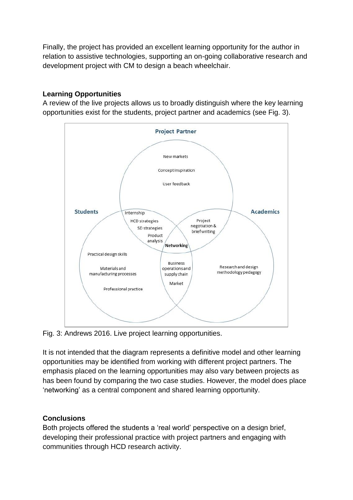Finally, the project has provided an excellent learning opportunity for the author in relation to assistive technologies, supporting an on-going collaborative research and development project with CM to design a beach wheelchair.

### **Learning Opportunities**

A review of the live projects allows us to broadly distinguish where the key learning opportunities exist for the students, project partner and academics (see Fig. 3).



Fig. 3: Andrews 2016. Live project learning opportunities.

It is not intended that the diagram represents a definitive model and other learning opportunities may be identified from working with different project partners. The emphasis placed on the learning opportunities may also vary between projects as has been found by comparing the two case studies. However, the model does place 'networking' as a central component and shared learning opportunity.

# **Conclusions**

Both projects offered the students a 'real world' perspective on a design brief, developing their professional practice with project partners and engaging with communities through HCD research activity.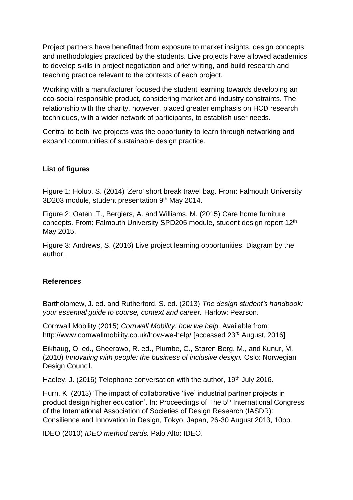Project partners have benefitted from exposure to market insights, design concepts and methodologies practiced by the students. Live projects have allowed academics to develop skills in project negotiation and brief writing, and build research and teaching practice relevant to the contexts of each project.

Working with a manufacturer focused the student learning towards developing an eco-social responsible product, considering market and industry constraints. The relationship with the charity, however, placed greater emphasis on HCD research techniques, with a wider network of participants, to establish user needs.

Central to both live projects was the opportunity to learn through networking and expand communities of sustainable design practice.

# **List of figures**

Figure 1: Holub, S. (2014) 'Zero' short break travel bag. From: Falmouth University 3D203 module, student presentation 9th May 2014.

Figure 2: Oaten, T., Bergiers, A. and Williams, M. (2015) Care home furniture concepts. From: Falmouth University SPD205 module, student design report 12<sup>th</sup> May 2015.

Figure 3: Andrews, S. (2016) Live project learning opportunities. Diagram by the author.

#### **References**

Bartholomew, J. ed. and Rutherford, S. ed. (2013) *The design student's handbook: your essential guide to course, context and career.* Harlow: Pearson.

Cornwall Mobility (2015) *Cornwall Mobility: how we help.* Available from: http://www.cornwallmobility.co.uk/how-we-help/ [accessed 23<sup>rd</sup> August, 2016]

Eikhaug, O. ed., Gheerawo, R. ed., Plumbe, C., Støren Berg, M., and Kunur, M. (2010) *Innovating with people: the business of inclusive design.* Oslo: Norwegian Design Council.

Hadley, J. (2016) Telephone conversation with the author, 19<sup>th</sup> July 2016.

Hurn, K. (2013) 'The impact of collaborative 'live' industrial partner projects in product design higher education'. In: Proceedings of The 5th International Congress of the International Association of Societies of Design Research (IASDR): Consilience and Innovation in Design, Tokyo, Japan, 26-30 August 2013, 10pp.

IDEO (2010) *IDEO method cards.* Palo Alto: IDEO.